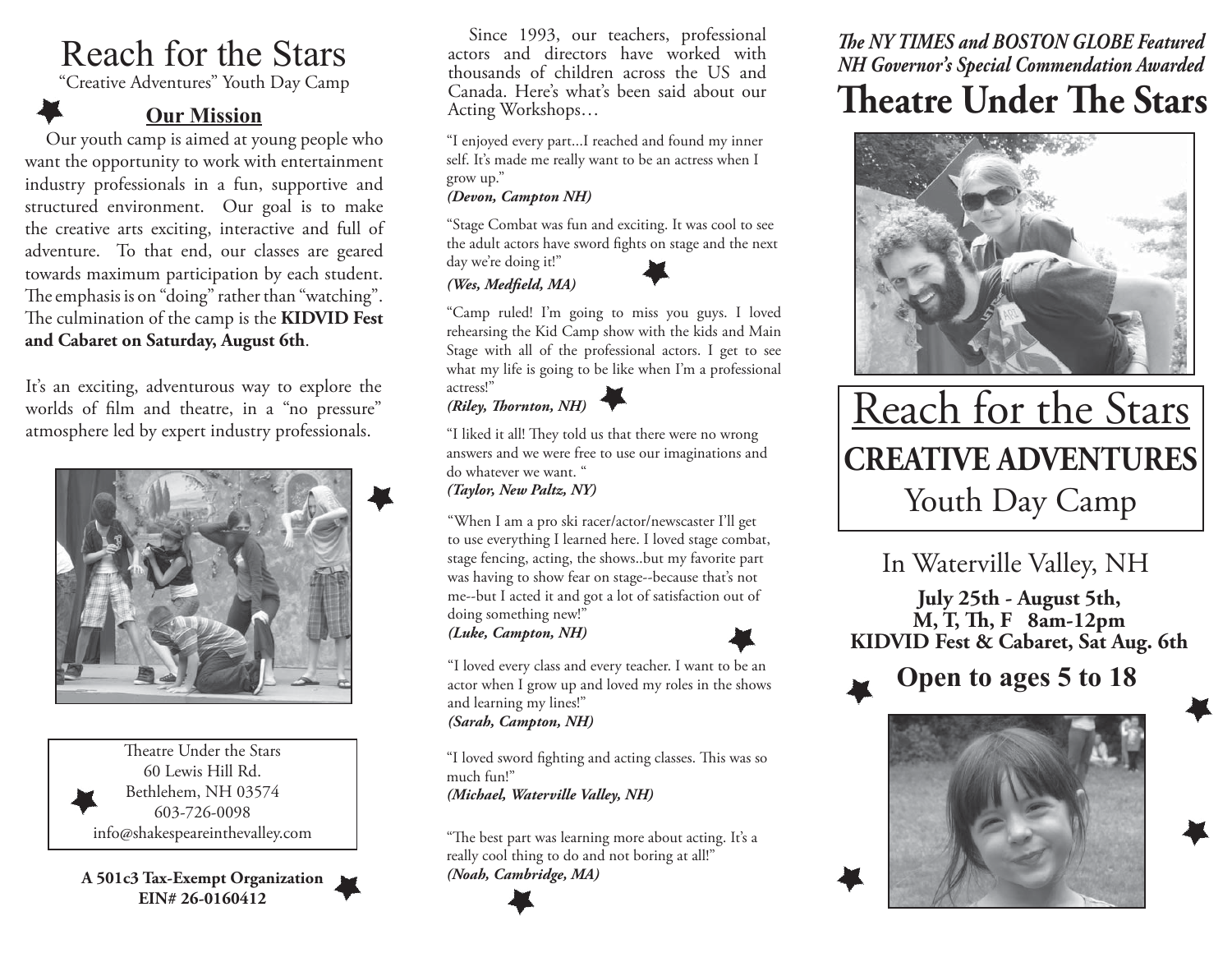# Reach for the Stars

"Creative Adventures" Youth Day Camp

# **Our Mission**

Our youth camp is aimed at young people who want the opportunity to work with entertainment industry professionals in a fun, supportive and structured environment. Our goal is to make the creative arts exciting, interactive and full of adventure. To that end, our classes are geared towards maximum participation by each student. The emphasis is on "doing" rather than "watching". The culmination of the camp is the **KIDVID Fest and Cabaret on Saturday, August 6th**.

It's an exciting, adventurous way to explore the worlds of film and theatre, in a "no pressure" atmosphere led by expert industry professionals.



Theatre Under the Stars 60 Lewis Hill Rd. Bethlehem, NH 03574 603-726-0098 info@shakespeareinthevalley.com

**A 501c3 Tax-Exempt Organization EIN# 26-0160412**



"I enjoyed every part...I reached and found my inner self. It's made me really want to be an actress when I grow up."

#### *(Devon, Campton NH)*

"Stage Combat was fun and exciting. It was cool to see the adult actors have sword fights on stage and the next day we're doing it!"

*(Wes, Medfield, MA)* 



"Camp ruled! I'm going to miss you guys. I loved rehearsing the Kid Camp show with the kids and Main Stage with all of the professional actors. I get to see what my life is going to be like when I'm a professional actress!"

# *(Riley, Th ornton, NH)*

"I liked it all! They told us that there were no wrong answers and we were free to use our imaginations and do whatever we want. "

*(Taylor, New Paltz, NY)*

"When I am a pro ski racer/actor/newscaster I'll get to use everything I learned here. I loved stage combat, stage fencing, acting, the shows..but my favorite part was having to show fear on stage--because that's not me--but I acted it and got a lot of satisfaction out of doing something new!"

*(Luke, Campton, NH)*



"I loved every class and every teacher. I want to be an actor when I grow up and loved my roles in the shows and learning my lines!" *(Sarah, Campton, NH)*

"I loved sword fighting and acting classes. This was so much fun!" *(Michael, Waterville Valley, NH)*

"The best part was learning more about acting. It's a really cool thing to do and not boring at all!" *(Noah, Cambridge, MA)*

# *The NY TIMES and BOSTON GLOBE Featured NH Governor's Special Commendation Awarded*

# **Theatre Under The Stars**



# Reach for the Stars **CREATIVE ADVENTURES**Youth Day Camp

In Waterville Valley, NH

**July 25th - August 5th, M, T, Th , F 8am-12pm KIDVID Fest & Cabaret, Sat Aug. 6th**

**Open to ages 5 to 18**